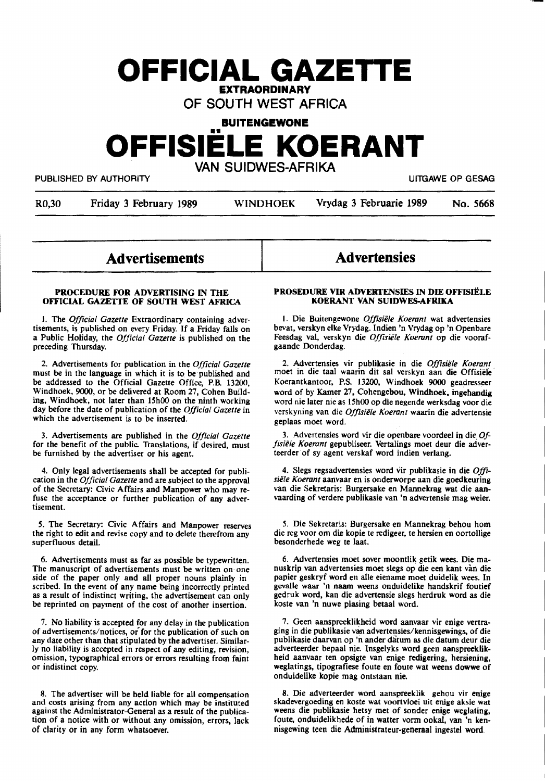# **OFFICIAL GAZETTE EXTRAORDINARY**

## OF SOUTH WEST AFRICA

## **BUITENGEWONE OFFISIELE KOERANT**  VAN SUIDWES-AFRIKA

PUBLISHED BY AUTHORITY **AUTHORITY Example 2018 12:30 TO AUTHORITY ULLGAWE OP GESAG** 

R0,30 Friday 3 February 1989 WINDHOEK Vrydag 3 Februarie 1989 No. 5668

## Advertisements

#### PROCEDURE FOR ADVERTISING IN THE **OFFICIAL GAZETIE OF** SOUTH **WEST AFRICA**

I. The *Official Gazette* Extraordinary containing adver• tisements, is published on every Friday. If a Friday falls on a Public Holiday, the *Official Gazette* is published on the preceding Thursday.

2. Advertisements for publication in the *Official Gazette*  must be in the language in which it is to be published and be addressed to the Official Gazette Office, P.B. 13200, Windhoek, 9000, or be delivered at Room 27, Cohen **Build**ing, Windhoek, not later than 15h00 on the ninth working day before the date of publication of the *Official Gazette* in which the advertisement is to be inserted.

3. Advertisements are published in the *Official Gazette*  for the benefit of the public. Translations, if desired, must be furnished by the advertiser or his agent.

4. Only legal advertisements shall be accepted for publication in the *Official Gazette* and are subject to the approval of the Secretary: Civic Affairs and **Manpower** who may refuse the acceptance or further publication of any advertisement.

*S.* The Secretary: Civic Affairs and **Manpower** reserves the right to edit and revise copy and to delete therefrom any superfluous detail.

6. Advertisements must as far as possible be typewritten. side of the paper only and all proper nouns plainly in scribed'. In the event of any name **being** incorrectly printed as a result of indistinct writing, the advertisement can only be reprinted on payment of the cost of another insertion.

7. No liability is accepted for any delay in the publication of advertisements/notices, or for the publication of such on any date other than that stipulated by the advertiser. Similarly no liability is accepted in respect of any editing, revision, omission, typographical errors or errors resulting from faint or indistinct copy.

8. The advertiser will be held liable for all compensation and costs arising from any action which may be instituted against the Administrator-General as a result of the publication of a notice with or without any omission, errors, lack of clarity or in any form whatsoever.

## **Advertensies**

#### PROSEDURE VIR ADVERTENSIES IN DIE OFFISJËLE **KOERANT VAN SUIDWES-AFRIKA**

1. Die Buitengewone Offisiële Koerant wat advertensies bevat, verskyn elke Vrydag. Indien 'n Vrydag op 'n Openbare Feesdag val, verskyn die *Offisiele Koerant* op die voorafgaande Donderdag.

2. Advertensies vir publikasie in die *Offisiele Koerant*  moet in die taal waarin dit sal verskyn aan die Offisiele · Koerantkantoor. P.S. 13200, Windhoek 9000 geadresseer word of by Kamer 27. Cohengebou, **Windhoek. ingehandig**  word nie later nie as 15h00 op die negende werksdag voor die verskyning van die *Offisiele Koerant* waarin die advertensie . geplaas moet word.

3. Advertensies word vir die openbare voordeel in die. *Ofjisiele Koetant* gepubliseer. Vertalings moet deur die adverteerder of sy agent verskaf word indien verlang.

4. Slegs regsadvertensies word vir publikasie in die *Of/i· siele Koerant* aanvaar en is onderworpe aan die **goedkeuring** van die Sekretaris: Burgersalce en Mannekrag wat die aanvaarding of verdere publikasie van 'n advertensie mag weier.

5. Die Sekretaris: Burgersake en Mannekrag behou hom die reg voor om die kopie te redigeer, te hersien en oortollige besonderhede weg te laat.

6. Advertensies moet sover moontlik getik wees. Die manuskrip van advertensies moet slegs op die een kant van die papier geskryf word en alle eiename moet duidelik wees. In gevalle waar 'n naam weens onduidelike handskrif foutief gedruk word, kan die advertensie slegs herdruk word as die koste van 'n nuwe plasing betaal word.

7. Geen aanspreeklikheid word aanvaar vir enige vertra**ging** in die publikasie ~ advertensies/lcennisgewings. of die publikasie daarvan op 'n ander datum as die datum deur die adverteerder bepaal nie. lnsgelyks word geen aanspreeklikheid aanvaar ten opsigte van enige redigering, hersiening, weglatings, tipografiese foute en foute wat weens dowwe of onduidelike kopie mag ontstaan nie.

8. Die adverteerder word aanspreeklik gehou vir enige skadevergoeding en koste wat voortvloei uit enige aksie wat weens die publikasie hetsy met of sonder enige weglating, foute, onduidelikhede of in watter vorm ookal, van 'n ken• nisgewing teen die Administrateur-generaal ingestel word.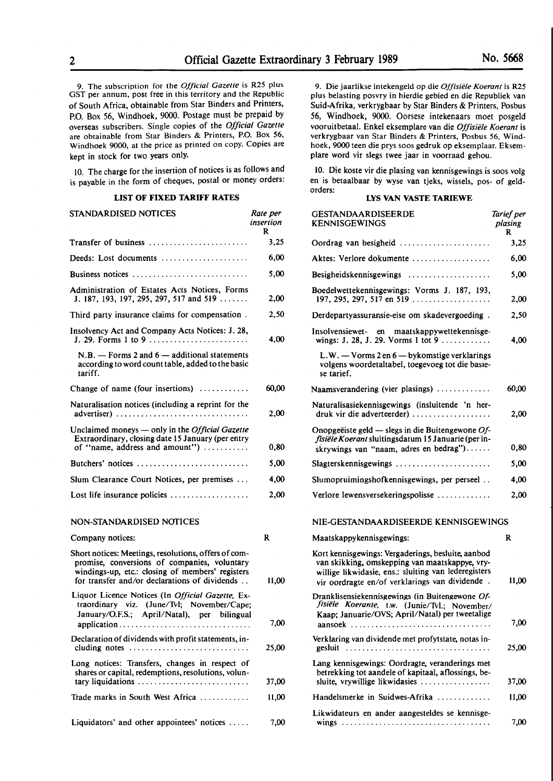9. The subscription for the *Official Gazette* is R25 plus GST per annum, post free in this territory and the Republic of South Africa, obtainable from Star Binders and Printers, P.O. Box *56,* Windhoek, 9000. Postage must be prepaid by overseas subscribers. Single copies of the *Official Gazette*  are obtainable from Star Binders & Printers, P.O. Box 56, Windhoek 9000, at the price as printed on copy. Copies are kept in stock for two years only.

IO. The charge for the insertion of notices is as follows and is payable in the form of cheques, postal or money orders:

#### **LIST OF FIXED TARIFF RATES**

| STANDARDISED NOTICES                                                                                                                          | Rate per<br>insertion<br>R |
|-----------------------------------------------------------------------------------------------------------------------------------------------|----------------------------|
| Transfer of business                                                                                                                          | 3,25                       |
| Deeds: Lost documents                                                                                                                         | 6,00                       |
| Business notices                                                                                                                              | 5,00                       |
| Administration of Estates Acts Notices, Forms<br>J. 187, 193, 197, 295, 297, 517 and 519                                                      | 2,00                       |
| Third party insurance claims for compensation.                                                                                                | 2,50                       |
| Insolvency Act and Company Acts Notices: J. 28,<br>J. 29. Forms 1 to 9                                                                        | 4.00                       |
| $N.B.$ — Forms 2 and 6 — additional statements<br>according to word count table, added to the basic<br>tariff.                                |                            |
| Change of name (four insertions)                                                                                                              | 60,00                      |
| Naturalisation notices (including a reprint for the<br>advertiser)                                                                            | 2,00                       |
| Unclaimed moneys — only in the <i>Official Gazette</i><br>Extraordinary, closing date 15 January (per entry<br>of "name, address and amount") | 0,80                       |
| Butchers' notices                                                                                                                             | 5,00                       |
| Slum Clearance Court Notices, per premises                                                                                                    | 4.00                       |
| Lost life insurance policies $\dots\dots\dots\dots\dots\dots$                                                                                 | 2,00                       |
| NON-STANDARDISED NOTICES                                                                                                                      |                            |
| Company notices:                                                                                                                              | R                          |
| Short notices: Meetings, resolutions, offers of com-                                                                                          |                            |

promise, conversions of companies, voluntary windings-up, etc.: closing of members' registers for transfer and/or declarations of dividends . . 11,00 Liquor Licence Notices (In *Official Gazette,* Extraordinary viz. (June/Tvl; November/Cape; January/0.F.S.; April/Natal), per bilingual application........ . . . . . . . . . . . . . . . . . . . . . . . . 7,00 Declaration of dividends with profit statements, including notes . . . . . . . . . . . . . . . . . . . . . . . . . . . . . 25,00 Long notices: Transfers, changes in respect of shares or capital, redemptions, resolutions, voluntary liquidations . . . . . . . . . . . . . . . . . . . . . . . . . . . 37 ,00 Trade marks in South West Africa . . . . . . . . . . . . 11,00

Liquidators' and other appointees' notices ..... 7,00

9. Die jaarlikse intekengeld op die *Offisiele Koerant* is R25 plus belasting posvry in hierdie gebied en die Republiek van Suid-Afrika, verkrygbaar by Star Binders & Printers, Posbus *56,* Windhoek, 9000. Oorsese intekenaars moet posgeld vooruitbetaal. Enkel eksemplare van die *Offisiele Koerant* is verkrygbaar van Star Binders & Printers, Posbus 56, Windhoek, 9000 teen die prys soos gedruk op eksemplaar. Eksemplare word vir slegs twee jaar in voorraad gehou.

10. Die koste vir die plasing van kennisgewings is soos volg en is betaalbaar by wyse van tjeks, wissels, pos- of geldorders:

#### **LYS VAN VASTE TARIEWE**

| GESTANDAARDISEERDE<br><b>KENNISGEWINGS</b>                                                                                                                                                                     | Tarief per<br>plasing<br>R |
|----------------------------------------------------------------------------------------------------------------------------------------------------------------------------------------------------------------|----------------------------|
| Oordrag van besigheid                                                                                                                                                                                          | 3,25                       |
| Aktes: Verlore dokumente                                                                                                                                                                                       | 6,00                       |
| Besigheidskennisgewings                                                                                                                                                                                        | 5,00                       |
| Boedelwettekennisgewings: Vorms J. 187, 193,<br>197, 295, 297, 517 en 519                                                                                                                                      | 2,00                       |
| Derdepartyassuransie-eise om skadevergoeding.                                                                                                                                                                  | 2,50                       |
| Insolvensiewet- en<br>maatskappywettekennisge-<br>wings: J. 28, J. 29. Vorms 1 tot 9                                                                                                                           | 4,00                       |
| L.W. - Vorms 2 en 6 - bykomstige verklarings<br>volgens woordetaltabel, toegevoeg tot die basie-<br>se tarief.                                                                                                 |                            |
| Naamsverandering (vier plasings)                                                                                                                                                                               | 60,00                      |
| Naturalisasiekennisgewings (insluitende 'n her-<br>druk vir die adverteerder)                                                                                                                                  | 2,00                       |
| Onopgeëiste geld — slegs in die Buitengewone Of-<br>fisiële Koerant sluitingsdatum 15 Januarie (per in-<br>skrywings van "naam, adres en bedrag")                                                              | 0,80                       |
| Slagterskennisgewings                                                                                                                                                                                          | 5,00                       |
| Slumopruimingshofkennisgewings, per perseel                                                                                                                                                                    | 4,00                       |
| Verlore lewensversekeringspolisse                                                                                                                                                                              | 2,00                       |
| NIE-GESTANDAARDISEERDE KENNISGEWINGS                                                                                                                                                                           |                            |
| Maatskappykennisgewings:                                                                                                                                                                                       | R                          |
| Kort kennisgewings: Vergaderings, besluite, aanbod<br>van skikking, omskepping van maatskappye, vry-<br>willige likwidasie, ens.: sluiting van lederegisters<br>vir oordragte en/of verklarings van dividende. | 11,00                      |
| Dranklisensiekennisgewings (in Buitengewone Of-<br>fisiële Koerante, t.w. (Junie/Tvl.; November/<br>Kaap; Januarie/OVS; April/Natal) per tweetalige                                                            |                            |
|                                                                                                                                                                                                                | 7,00                       |
| Verklaring van dividende met profytstate, notas in-<br>gesluit                                                                                                                                                 | 25,00                      |
| Lang kennisgewings: Oordragte, veranderings met<br>betrekking tot aandele of kapitaal, aflossings, be-<br>sluite, vrywillige likwidasies                                                                       | 37,00                      |
| Handelsmerke in Suidwes-Afrika                                                                                                                                                                                 | 11,00                      |
| Likwidateurs en ander aangesteldes se kennisge-                                                                                                                                                                | 7,00                       |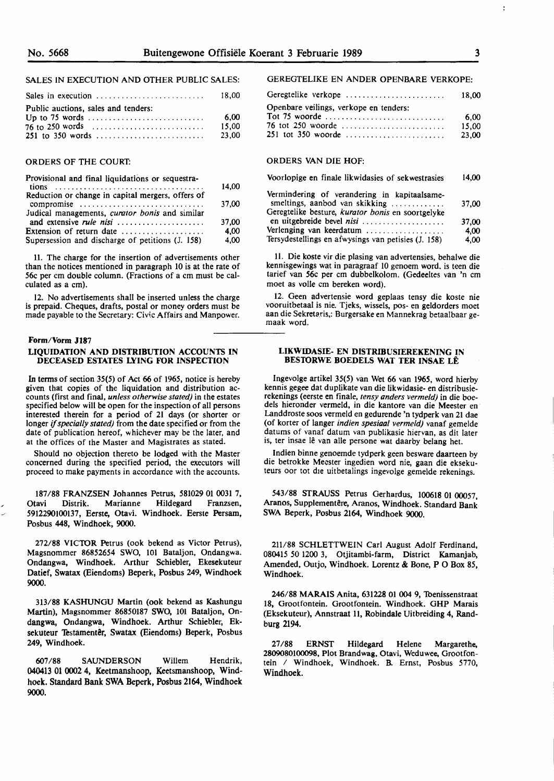#### SALES IN EXECUTION AND OTHER PUBLIC SALES:

|                                                                              | 18.00 |
|------------------------------------------------------------------------------|-------|
| Public auctions, sales and tenders:                                          |       |
| Up to 75 words $\dots \dots \dots \dots \dots \dots \dots \dots \dots \dots$ | 6.00  |
|                                                                              | 15.00 |
|                                                                              | 23.00 |

#### ORDERS **OF THE** COURT:

| Provisional and final liquidations or sequestra-  |       |
|---------------------------------------------------|-------|
|                                                   | 14,00 |
| Reduction or change in capital mergers, offers of |       |
| compromise                                        | 37.00 |
| Judical managements, curator bonis and similar    |       |
| and extensive <i>rule nisi</i>                    | 37,00 |
| Extension of return date                          | 4.00  |
| Supersession and discharge of petitions (J. 158)  | 4,00  |

11. The charge for the insertion of advertisements other than the notices mentioned in paragraph 10 is at the rate of 56c per cm double column. (Fractions of a cm must be calculated as a cm).

12. No advertisements shall be inserted unless the charge is prepaid. Cheques, drafts, postal or money orders must be made payable to the Secretary: Civic Affairs and Manpower.

#### **Form/Vorm J187**

#### **LIQUIDATION AND DISTRIBUTION ACCOUNTS IN DECEASED ESTATES LYING FOR INSPECTION**

In terms of section *35(5)* of Act 66 of 1965, notice is hereby given that copies of the liquidation and distribution accounts (first and final, *unless otherwise stated)* in the estates specified below will be open for the inspection of all persons interested therein for a period of 21 days (or shorter or longer if *specially stated)* from the date specified or from the date of publication hereof, whichever may be the later, and at the offices of the Master and Magistrates as stated.

Should no objection thereto be lodged with the Master concerned during the specified period, the executors will proceed to make payments in accordance with the accounts.

187/88 FRANZSEN Johannes Petrus, 581029 01 0031 7, Otavi Distrik. Marianne Hildegard Franzsen, 5912290100137, Eerste, Otavi. Windhoek. Eerste Persam, Posbus 448, Windhoek, **9000.** 

272/88 VICTOR Petrus (ook bekend as Victor Petrus), Magsnommer 86852654 **SWO,** 101 Bataljon, Ondangwa. Ondangwa, Windhoek. Arthur Schiebler, Ekesekuteur **Datief,** Swatax (Eiendoms) **Beperk,** Posbus 249, Windhoek **9000.** 

313/88 KASHUNGU Martin (ook bekend as Kashungu Martin), Magsnommer 86850187 SWO, 101 Bataljon, On**dangwa,** Ondangwa, **Windhoek.** Arthur Schiebler, Eksekuteur Testamentêr, Swatax (Eiendoms) Beperk, Posbus 249, Windhoek.

607 /88 SAUNDERSON Willem Hendrik, 040413 0100024, Keetmanshoop, Keetsmanshoop, Windhoek. Standard Bank SWA Beperk, Posbus 2164, Windhoek **9000.** 

#### GEREGTELIKE EN **ANDER** OPENBARE VERKOPE:

| Geregtelike verkope                    | 18.00 |
|----------------------------------------|-------|
| Openbare veilings, verkope en tenders: |       |
| Tot 75 woorde                          | -6.00 |
| 76 tot 250 woorde                      | 15.00 |
|                                        | 23,00 |

#### ORDERS VAN DIE HOF:

#### Voorlopige en finale likwidasies of sekwestrasies 14,00

| Vermindering of verandering in kapitaalsame-        |       |
|-----------------------------------------------------|-------|
| smeltings, aanbod van skikking                      | 37.00 |
| Geregtelike besture, kurator bonis en soortgelyke   |       |
| en uitgebreide bevel nisi                           | 37.00 |
| Verlenging van keerdatum                            | 4.00  |
| Tersydestellings en afwysings van petisies (J. 158) | 4,00  |

11. Die koste vir die plasing van advertensies, behalwe die kennisgewings wat in paragraaf 10 genoem word. is teen die tarief van 56c per cm dubbelkolom. (Gedeeltes van 'n cm moet as voile cm bereken word).

12. Geen advertensie word geplaas tensy die koste nie vooruitbetaal is nie. Tjeks, wissels, pos- en geldorders moet aan die Sekretaris,: Burgersake en Mannekrag betaalbaar gemaak word.

#### **LIKWIDASIE- EN DISTRIBUSIEREKENING IN BES10RWE BOEDELS WAT TER INSAE** LE

Ingevolge artikel 35(5) van Wet 66 van 1965, word hierby kennis gegee dat duplikate van die likwidasie- en distribusierekenings (eerste en finale, *tensy anders vermeld)* in die boedels hieronder vermeld, in die kantore van die Meester en Landdroste soos vermeld en gedurende 'n tydperk van 21 dae (of korter of langer *indien spesiaal vermeld)* vanaf gemelde datums of vanaf datum van publikasie hiervan, as dit later is, ter insae lê van alle persone wat daarby belang het.

Indien binne genoemde tydperk geen besware daarteen by die betrokke Meester ingedien word nie, gaan die eksekuteurs oor tot die uitbetalings ingevolge gemelde rekenings.

543/88 STRAUSS Petrus Gerhardus, **100618** 01 00057, Aranos, Supplementêre, Aranos, Windhoek. Standard Bank SWA Beperk, Posbus 2164, Windhoek 9000.

211/88 SCHLETTWEIN Carl August Adolf Ferdinand, 080415 *50* 1200 3, Otjitambi-farm, District Kamanjab, Amended, Outjo, Windhoek. Lorentz & Bone, P O Box *85,*  Windhoek.

246/88 **MARAIS** Anita, 631228 01 004 9, Toenissenstraat 18, Grootfontein. Grootfontein. Windhoek. GHP Marais (Eksekuteur), Annstraat 11, Robindale Uitbreiding 4, Randburg 2194.

27 /88 ERNST Hildegard Helene Margarethe, 2809080100098, Plot Brandwag, Otavi, Weduwee, Grootfontein / Windhoek, Windhoek. B. Ernst, Posbus 5770, Windhoek.

ł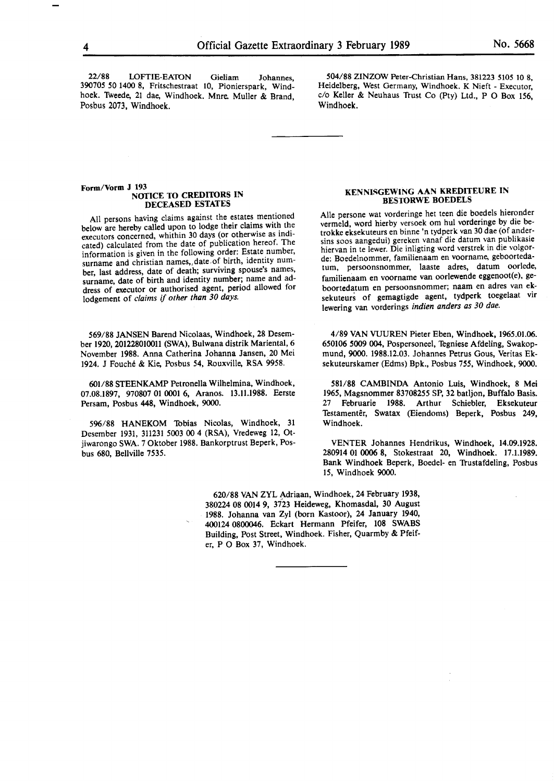22/88 LOFTIE-EATON Gieliam Johannes. 390705 50 **1400 8,** Fritschestraat 10, Pionierspark, Windhoek. Tweede, 21 dae, Windhoek. Mnre. Muller & Brand, Posbus 2073, Windhoek.

504/88 **ZINZOW** Peter-Christian Hans, 381223 5105 10 8, Heidelberg, West Germany, Windhoek. K Nieft - Executor, c/o Keller & Neuhaus Trust Co (Pty) Ltd., P O Box 156, Windhoek.

#### **Form/Vorm J 193 NOTICE TO CREDITORS IN DECEASED ESTATES**

All persons having claims against the estates mentioned below are hereby called upon to lodge their claims with the executors concerned, whithin 30 days (or otherwise as indicated) calculated from the date of publication hereof. The information is given in the following order: Estate number, surname and christian names, date of birth, identity number, last address, date of death; surviving spouse's names, surname, date of birth and identity number; name and address of' **executor or** authorised agent, **period allowed** for lodgement **of** *claims* if *other than 30 days.* 

569/88 JANSEN Barend Nicolaas, Windhoek, 28 Desember 1920, 201228010011 (SWA), Bulwana distrik Mariental, 6 November 1988. Anna Catherina Johanna Jansen, 20 Mei 1924. J Fouche & Kie, Posbus 54, Rouxville, RSA 9958.

601/88 STEENKAMP Petronella Wilhelmina, Windhoek, 07.08.1897, 970807 01 0001 6, Aranos. 13.11.1988. Eerste Persam, **Posbus 448,** Windhoek, 9000.

596/88 **HANEKOM** Tobias Nicolas, Windhoek, 31 Desember 1931, 311231 5003 00 4 (RSA), Vredeweg 12, Otjiwarongo **SWA.** 7 Oktober 1988. Bankorptrust Beperk, Posbus 680, Bellville 7535.

#### **KENNISGEWING AAN KREDITEURE IN BESTORWE BOEDELS**

Alie persone wat vorderinge het teen die boedels hieronder vermeld, word hierby versoek om hul vorderinge by die betrokke eksekuteurs en binne 'n tydperk van 30 dae (of andersins soos aangedui) gereken vanaf die datum van publikasie hiervan in te lewer. Die inligting word verstrek in die volgorde: Boedelnommer, familienaam en voorname, geboortedatum, persoonsnommer, laaste adres, datum oorlede, familienaam en voorname van oorlewende eggenoot(e), **ge**boortedatum **en** persoonsnommer; naam en adres van eksekuteurs **of** gemagtigde agent, **tydperk** toegelaat vir Jewering van vorderings *indien anders as 30 dae.* 

4/89 VAN VUUREN Pieter Eben, Windhoek, 1965.01.06. 650106 5009 004, Pospersoneel, Tegniese Afdeling, Swakopmund, 9000. 1988.12.03. Johannes Petrus Gous, Veritas Eksekuteurskamer (Edms) Bpk., Posbus 755, Windhoek, 9000.

581/88 CAMBINDA Antonio Luis, Windhoek, 8 **Mei**  1965, Magsnommer 83708255 SP, 32 batljon, Buffalo Basis. 27 **Februarie** 1988. Arthur Schiebler, Eksekuteur Testamentêr, Swatax (Eiendoms) Beperk, Posbus 249, Windhoek.

VENTER Johannes Hendrikus, Windhoek, 14.09.1928. 280914 01 **0006 8,** Stokestraat 20, Windhoek. 17.1.1989. Bank Windhoek Beperk, Boedel- en Trustafdeling, Posbus 15, Windhoek **9000.** 

620/88 VAN ZYL Adriaan, Windhoek, 24 February 1938, 380224 08 0014 9, 3723 Heideweg, Khomasdal, 30 August 1988. Johanna van Zyl (born Kastoor), 24 January 1940, 400124 **0800046.** Eckart Hermann Pfeifer, 108 SWABS Building, Post Street, Windhoek. Fisher, Quarmby & Pfeifer, P O Box 37, Windhoek.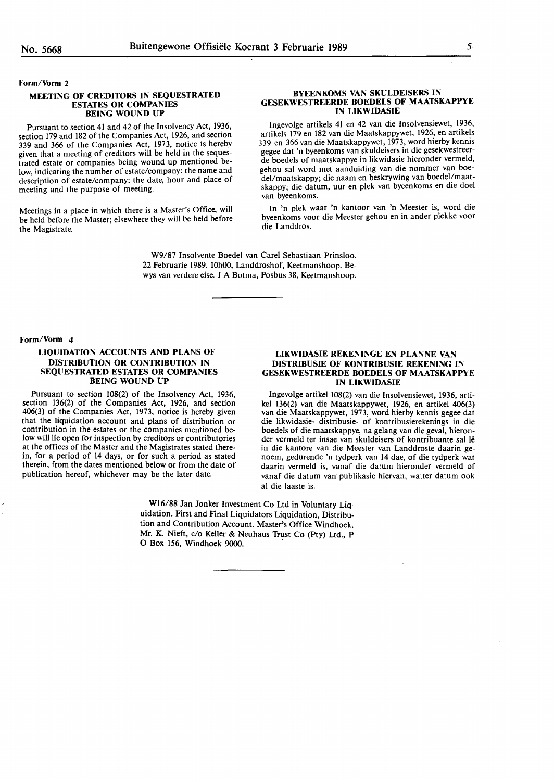#### **Form/Vorm** 2

#### **MEETING OF CREDITORS IN SEQUESTRATED ESTATES OR COMPANIES BEING WOUND UP**

Pursuant to section 41 and 42 of the Insolvency Act, 1936, section **179** and 182 **of the** Companies **Act,** 1926, and section 339 and 366 of the Companies Act, 1973, notice is hereby given that a meeting of creditors **will** be held in th\_e sequestrated estate or companies being wound up mentioned below, indicating the number of estate/company: the name and description of estate/company; the **date,** hour and **place** of meeting and the purpose of meeting.

Meetings in a place in which there is a Master's Office, will be held before the Master; elsewhere they will be held before the Magistrate.

#### **BYEENKOMS VAN SKULDEISERS IN GESEKWESTREERDE BOEDELS OF MAATSKAPPYE IN LIKWIDASIE**

Ingevolge artikels 41 en 42 van die Insolvensiewet, 1\_936, artikels 179 en 182 van die Maatskappywet, 1926, en artikels 339 en 366 van **die** Maatskappywet, **1973,** word **hierby** kennis gegee dat 'n byeenkoms van skuldeisers in die gesekwestreerde boedels of maatskappye in likwidasie hieronder vermeld, gehou sal word met aanduiding van die nommer van boedel/maatskappy; **die** naam en **beskrywing** van boedel'.maat**skappy;** die datum, uur en plek **van** byeenkoms **en** die doe! **van** byeenkoms.

In 'n plek waar 'n kantoor van 'n Meester is, word die byeenkoms voor die Meester gchou en in ander plekke voor die Landdros.

**W9/87** Insolvente Boedel van **Carel** Sebastiaan Prinsloo. 22 Februarie 1989. 10h00, Landdroshof, Keetmanshoop. Bewys van verdere eise. J A Botma, Posbus 38, Keetmanshoop.

Form/Vorm 4

#### **LIQUIDATION ACCOUNTS AND PLANS OF DISTRIBUTION OR CONTRIBUTION IN SEQUESTRATED ESTATES OR COMPANIES BEING WOUND UP**

Pursuant to section 108(2) of the Insolvency Act, 1936, section 136(2) of the Companies Act, 1926, and section 406(3) of the Companies Act, 1973, notice is hereby given that the liquidation account and plans of distribution or contribution in the estates or the companies mentioned below will lie open for inspection by creditors or contributories at the offices of the Master and the Magistrates stated therein, for a period of 14 days, or for such a period as stated therein, from the dates mentioned below or from the date of publication hereof, whichever may be the later date.

#### **LIKWIDASIE REKENINGE EN PLANNE VAN DISTRIBUSIE OF KONTRIBUSIE REKENING IN GESEKWESTREERDE BOEDELS OF MAATSKAPPYE IN LIKWIDASIE**

Ingevolge artikel 108(2) van die Insolvensiewet, 1936, artikel 136(2) van die Maatskappywet, 1926, en artikel 406(3) van die Maatskappywet, 1973, word hierby kennis gegee dat die likwidasie- distribusie- of kontribusierekenings in die boedels of die maatskappye, na gelang van die geval, hieronder vermeld ter insae van skuldeisers of kontribuante sal le in die kantore van die Meester van Landdroste daarin genoem, gedurende 'n tydperk van 14 dae, of die tydperk wat daarin vermeld is, vanaf die datum hieronder vermeld of vanaf die datum van publikasie hiervan, watter datum ook al die laaste is.

Wl6/88 Jan Jonker Investment Co Ltd in Voluntary Liquidation. First and Final Liquidators Liquidation, Distribution and Contribution Account. Master's Office Windhoek. Mr. K. Nieft, c/o Keller & Neuhaus Trust Co (Pty) Ltd., P O Box 156, Windhoek 9000.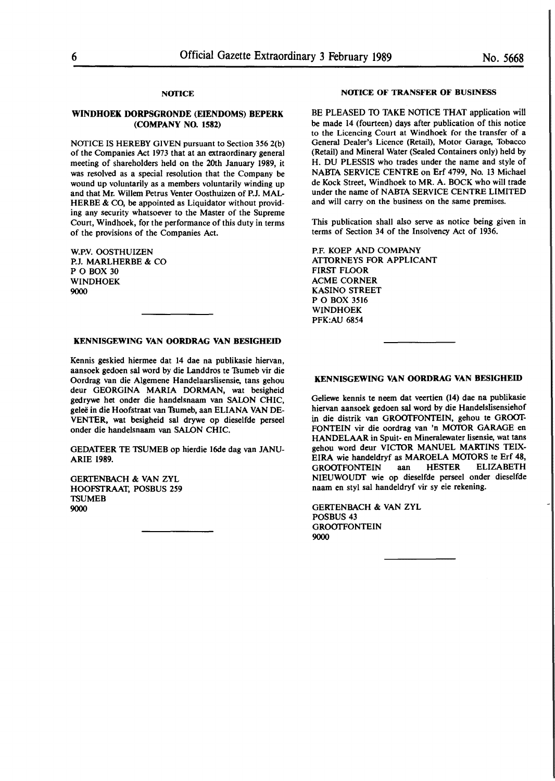### **NOTICE**

#### **WINDHOEK DORPSGRONDE (EIENDOMS) BEPERK (COMPANY NO. 1582)**

NOTICE IS HEREBY GIVEN pursuant to Section 356 2(b) of the Companies Act 1973 that at an extraordinary general meeting of shareholders held on the 20th January 1989, it was resolved as a special resolution that the Company be wound up voluntarily as a members voluntarily winding up and that **Mr.** Willem Petrus Venter Oosthuizen of **P.J.** MAL-HERBE & CO, be appointed as Liquidator without providing any security whatsoever to the Master of the Supreme Court, Windhoek, for the performance of this duty in terms of the provisions of the Companies Act.

W.P.V. OOSTHUIZEN P.J. MARLHERBE & CO PO BOX 30 WINDHOEK 9000

#### **KENNISGEWING VAN OORDRAG VAN BESIGHEID**

Kennis geskied hiermee dat 14 dae na publikasie hiervan, aansoek gedoen sal word by die Landdros te Tsumeb vir die Oordrag van die Algemene Handelaarslisensie, tans gehou deur GEORGINA **MARIA** DORMAN, wat besigheid gedrywe het onder die handelsnaam van SALON CHIC, geleë in die Hoofstraat van Tsumeb, aan ELIANA VAN DE-VENTER, wat besigheid sal drywe op dieselfde perseel onder die handelsnaam van SALON CHIC.

GEDATEER TE TSUMEB op hierdie 16de dag van JANU-ARIE **1989.** 

GERTENBACH & VAN ZYL HOOFSTRAAT, POSBUS 259 **TSUMEB** 9000

#### NOTICE OF TRANSFER **OF** BUSINESS

BE PLEASED TO TAKE NOTICE THAT application will be made 14 (fourteen) days after publication of this notice to the Licencing Court at Windhoek for the transfer of a General Dealer's Licence (Retail), Motor Garage, Tobacco (Retail) and Mineral Water (Sealed Containers only) held by H. DU PLESSIS who trades under the name and style of NABTA SERVICE CENTRE on Erf 4799, No. 13 Michael de Kock Street, Windhoek to **MR. A.** BOCK who will trade under the name of NABTA SERVICE CENTRE LIMITED and will carry on the business on the same premises.

This publication shall also serve as notice being given in terms of Section 34 of the Insolvency Act of 1936.

P.F. KOEP AND COMPANY ATTORNEYS FOR APPLICANT FIRST FLOOR ACME CORNER KASINO STREET PO BOX 3516 WINDHOEK PFK:AU 6854

#### **KENNISGEWING VAN OORDRAG VAN BESIGHEID**

Geliewe kennis te neem dat veertien (14) dae na publikasie hiervan aansoek gedoen sal word by die Handelslisensiehof in **die** distrik van GROOfFONTEIN, gehou te GROOf-FONTEIN vir **die** oordrag van 'n MOfOR GARAGE en HANDELAAR in Spuit- en Mineralewater Iisensie, wat tans gehou word deur VICTOR MANUEL MARTINS TEIX-EIRA wie handeldryf as MAROELA MOfORS te Erf **48,**  GROOTFONTEIN aan HESTER NIEUWOUDT wie op dieselfde perseel onder dieselfde naam en styl sal handeldryf vir sy eie rekening.

GERfENBACH & VAN ZYL POSBUS 43 **GROOTFONTEIN** 9000